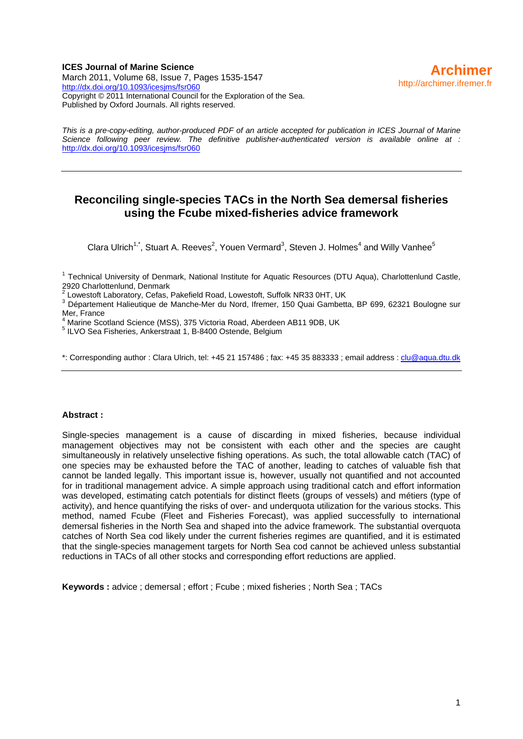#### **ICES Journal of Marine Science**  March 2011, Volume 68, Issue 7, Pages 1535-1547 <http://dx.doi.org/10.1093/icesjms/fsr060> Copyright © 2011 International Council for the Exploration of the Sea. Published by Oxford Journals. All rights reserved.

*This is a pre-copy-editing, author-produced PDF of an article accepted for publication in ICES Journal of Marine Science following peer review. The definitive publisher-authenticated version is available online at :*  <http://dx.doi.org/10.1093/icesjms/fsr060>

## **Reconciling single-species TACs in the North Sea demersal fisheries using the Fcube mixed-fisheries advice framework**

Clara Ulrich<sup>1,\*</sup>, Stuart A. Reeves<sup>2</sup>, Youen Vermard<sup>3</sup>, Steven J. Holmes<sup>4</sup> and Willy Vanhee<sup>5</sup>

<sup>1</sup> Technical University of Denmark, National Institute for Aquatic Resources (DTU Aqua), Charlottenlund Castle, 2920 Charlottenlund, Denmark

Lowestoft Laboratory, Cefas, Pakefield Road, Lowestoft, Suffolk NR33 0HT, UK

<sup>∠</sup> Lowestoft Laboratory, Cefas, Pakefield Road, Lowestoft, Suffolk NR33 0HT, UK<br><sup>3</sup> Département Halieutique de Manche-Mer du Nord, Ifremer, 150 Quai Gambetta, BP 699, 62321 Boulogne sur Mer, France

<sup>4</sup> Marine Scotland Science (MSS), 375 Victoria Road, Aberdeen AB11 9DB, UK

5 ILVO Sea Fisheries, Ankerstraat 1, B-8400 Ostende, Belgium

\*: Corresponding author : Clara Ulrich, tel: +45 21 157486 ; fax: +45 35 883333 ; email address : [clu@aqua.dtu.dk](mailto:clu@aqua.dtu.dk)

#### **Abstract :**

Single-species management is a cause of discarding in mixed fisheries, because individual management objectives may not be consistent with each other and the species are caught simultaneously in relatively unselective fishing operations. As such, the total allowable catch (TAC) of one species may be exhausted before the TAC of another, leading to catches of valuable fish that cannot be landed legally. This important issue is, however, usually not quantified and not accounted for in traditional management advice. A simple approach using traditional catch and effort information was developed, estimating catch potentials for distinct fleets (groups of vessels) and métiers (type of activity), and hence quantifying the risks of over- and underquota utilization for the various stocks. This method, named Fcube (Fleet and Fisheries Forecast), was applied successfully to international demersal fisheries in the North Sea and shaped into the advice framework. The substantial overquota catches of North Sea cod likely under the current fisheries regimes are quantified, and it is estimated that the single-species management targets for North Sea cod cannot be achieved unless substantial reductions in TACs of all other stocks and corresponding effort reductions are applied.

**Keywords :** advice ; demersal ; effort ; Fcube ; mixed fisheries ; North Sea ; TACs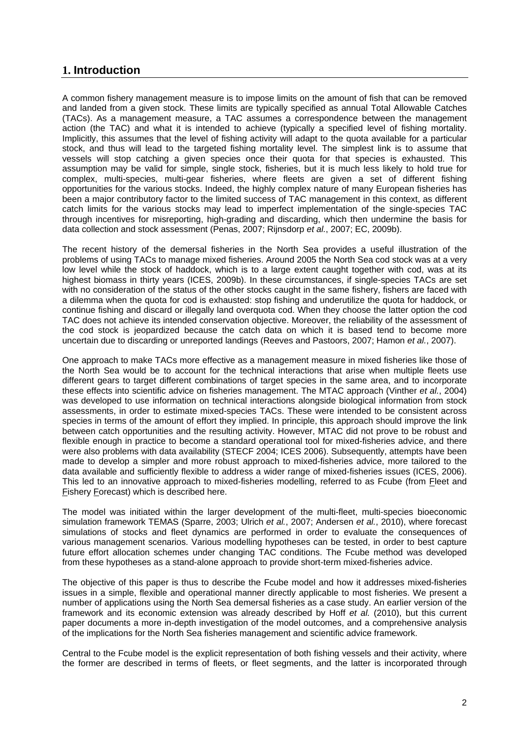## **1. Introduction**

A common fishery management measure is to impose limits on the amount of fish that can be removed and landed from a given stock. These limits are typically specified as annual Total Allowable Catches (TACs). As a management measure, a TAC assumes a correspondence between the management action (the TAC) and what it is intended to achieve (typically a specified level of fishing mortality. Implicitly, this assumes that the level of fishing activity will adapt to the quota available for a particular stock, and thus will lead to the targeted fishing mortality level. The simplest link is to assume that vessels will stop catching a given species once their quota for that species is exhausted. This assumption may be valid for simple, single stock, fisheries, but it is much less likely to hold true for complex, multi-species, multi-gear fisheries, where fleets are given a set of different fishing opportunities for the various stocks. Indeed, the highly complex nature of many European fisheries has been a major contributory factor to the limited success of TAC management in this context, as different catch limits for the various stocks may lead to imperfect implementation of the single-species TAC through incentives for misreporting, high-grading and discarding, which then undermine the basis for data collection and stock assessment (Penas, 2007; Rijnsdorp *et al.*, 2007; EC, 2009b).

The recent history of the demersal fisheries in the North Sea provides a useful illustration of the problems of using TACs to manage mixed fisheries. Around 2005 the North Sea cod stock was at a very low level while the stock of haddock, which is to a large extent caught together with cod, was at its highest biomass in thirty years (ICES, 2009b). In these circumstances, if single-species TACs are set with no consideration of the status of the other stocks caught in the same fishery, fishers are faced with a dilemma when the quota for cod is exhausted: stop fishing and underutilize the quota for haddock, or continue fishing and discard or illegally land overquota cod. When they choose the latter option the cod TAC does not achieve its intended conservation objective. Moreover, the reliability of the assessment of the cod stock is jeopardized because the catch data on which it is based tend to become more uncertain due to discarding or unreported landings (Reeves and Pastoors, 2007; Hamon *et al.*, 2007).

One approach to make TACs more effective as a management measure in mixed fisheries like those of the North Sea would be to account for the technical interactions that arise when multiple fleets use different gears to target different combinations of target species in the same area, and to incorporate these effects into scientific advice on fisheries management. The MTAC approach (Vinther *et al.*, 2004) was developed to use information on technical interactions alongside biological information from stock assessments, in order to estimate mixed-species TACs. These were intended to be consistent across species in terms of the amount of effort they implied. In principle, this approach should improve the link between catch opportunities and the resulting activity. However, MTAC did not prove to be robust and flexible enough in practice to become a standard operational tool for mixed-fisheries advice, and there were also problems with data availability (STECF 2004; ICES 2006). Subsequently, attempts have been made to develop a simpler and more robust approach to mixed-fisheries advice, more tailored to the data available and sufficiently flexible to address a wider range of mixed-fisheries issues (ICES, 2006). This led to an innovative approach to mixed-fisheries modelling, referred to as Fcube (from Fleet and Fishery Forecast) which is described here.

The model was initiated within the larger development of the multi-fleet, multi-species bioeconomic simulation framework TEMAS (Sparre, 2003; Ulrich *et al.*, 2007; Andersen *et al.*, 2010), where forecast simulations of stocks and fleet dynamics are performed in order to evaluate the consequences of various management scenarios. Various modelling hypotheses can be tested, in order to best capture future effort allocation schemes under changing TAC conditions. The Fcube method was developed from these hypotheses as a stand-alone approach to provide short-term mixed-fisheries advice.

The objective of this paper is thus to describe the Fcube model and how it addresses mixed-fisheries issues in a simple, flexible and operational manner directly applicable to most fisheries. We present a number of applications using the North Sea demersal fisheries as a case study. An earlier version of the framework and its economic extension was already described by Hoff *et al.* (2010), but this current paper documents a more in-depth investigation of the model outcomes, and a comprehensive analysis of the implications for the North Sea fisheries management and scientific advice framework.

Central to the Fcube model is the explicit representation of both fishing vessels and their activity, where the former are described in terms of fleets, or fleet segments, and the latter is incorporated through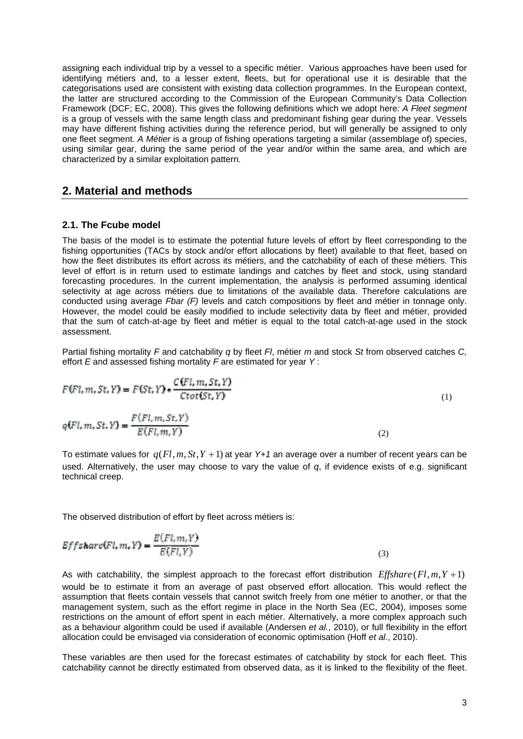assigning each individual trip by a vessel to a specific métier. Various approaches have been used for identifying métiers and, to a lesser extent, fleets, but for operational use it is desirable that the categorisations used are consistent with existing data collection programmes. In the European context, the latter are structured according to the Commission of the European Community's Data Collection Framework (DCF; EC, 2008). This gives the following definitions which we adopt here*: A Fleet segment*  is a group of vessels with the same length class and predominant fishing gear during the year. Vessels may have different fishing activities during the reference period, but will generally be assigned to only one fleet segment. *A Métier* is a group of fishing operations targeting a similar (assemblage of) species, using similar gear, during the same period of the year and/or within the same area, and which are characterized by a similar exploitation pattern.

## **2. Material and methods**

#### **2.1. The Fcube model**

The basis of the model is to estimate the potential future levels of effort by fleet corresponding to the fishing opportunities (TACs by stock and/or effort allocations by fleet) available to that fleet, based on how the fleet distributes its effort across its métiers, and the catchability of each of these métiers. This level of effort is in return used to estimate landings and catches by fleet and stock, using standard forecasting procedures. In the current implementation, the analysis is performed assuming identical selectivity at age across métiers due to limitations of the available data. Therefore calculations are conducted using average *Fbar (F)* levels and catch compositions by fleet and métier in tonnage only. However, the model could be easily modified to include selectivity data by fleet and métier, provided that the sum of catch-at-age by fleet and métier is equal to the total catch-at-age used in the stock assessment.

Partial fishing mortality *F* and catchability *q* by fleet *Fl*, métier *m* and stock *St* from observed catches *C,* effort *E* and assessed fishing mortality *F* are estimated for year *Y* :

$$
F(Fl, m, St, Y) = F(St, Y) * \frac{C(Fl, m, St, Y)}{Ctot(St, Y)}
$$
\n
$$
\tag{1}
$$

$$
q(Fl, m, St, Y) = \frac{F(Fl, m, St, Y)}{E(Fl, m, Y)}
$$
\n<sup>(2)</sup>

To estimate values for  $q$ ( $Fl, m, St, Y + 1$ ) at year  $Y+1$  an average over a number of recent years can be used. Alternatively, the user may choose to vary the value of *q*, if evidence exists of e.g. significant technical creep.

The observed distribution of effort by fleet across métiers is:

$$
Effshare(Fl, m, Y) = \frac{E(Fl, m, Y)}{E(Fl, Y)}
$$
\n(3)

As with catchability, the simplest approach to the forecast effort distribution  $Effshare$  ( $Fl, m, Y+1$ ) would be to estimate it from an average of past observed effort allocation. This would reflect the assumption that fleets contain vessels that cannot switch freely from one métier to another, or that the management system, such as the effort regime in place in the North Sea (EC, 2004), imposes some restrictions on the amount of effort spent in each métier. Alternatively, a more complex approach such as a behaviour algorithm could be used if available (Andersen *et al.*, 2010), or full flexibility in the effort allocation could be envisaged via consideration of economic optimisation (Hoff *et al.*, 2010).

These variables are then used for the forecast estimates of catchability by stock for each fleet. This catchability cannot be directly estimated from observed data, as it is linked to the flexibility of the fleet.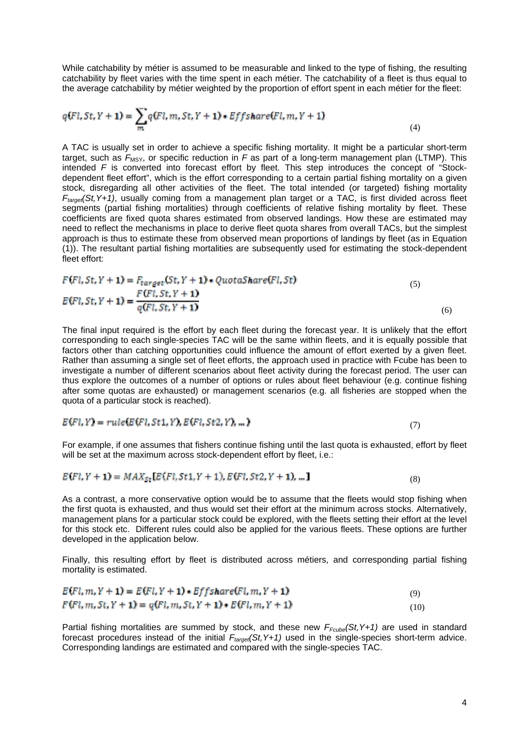While catchability by métier is assumed to be measurable and linked to the type of fishing, the resulting catchability by fleet varies with the time spent in each métier. The catchability of a fleet is thus equal to the average catchability by métier weighted by the proportion of effort spent in each métier for the fleet:

$$
q(Fl, St, Y+1) = \sum_{m} q(Fl, m, St, Y+1) * Eff share(Fl, m, Y+1)
$$
\n<sup>(4)</sup>

A TAC is usually set in order to achieve a specific fishing mortality. It might be a particular short-term target, such as  $F_{\text{MSY}}$ , or specific reduction in F as part of a long-term management plan (LTMP). This intended *F* is converted into forecast effort by fleet. This step introduces the concept of "Stockdependent fleet effort", which is the effort corresponding to a certain partial fishing mortality on a given stock, disregarding all other activities of the fleet. The total intended (or targeted) fishing mortality  $F_{\text{target}}(St, Y+1)$ , usually coming from a management plan target or a TAC, is first divided across fleet segments (partial fishing mortalities) through coefficients of relative fishing mortality by fleet. These coefficients are fixed quota shares estimated from observed landings. How these are estimated may need to reflect the mechanisms in place to derive fleet quota shares from overall TACs, but the simplest approach is thus to estimate these from observed mean proportions of landings by fleet (as in Equation (1)). The resultant partial fishing mortalities are subsequently used for estimating the stock-dependent fleet effort:

$$
F(Fl, St, Y + 1) = F_{target}(St, Y + 1) * Quotashare(Fl, St)
$$
  
\n
$$
E(Fl, St, Y + 1) = \frac{F(Fl, St, Y + 1)}{q(Fl, St, Y + 1)}
$$
 (5)

The final input required is the effort by each fleet during the forecast year. It is unlikely that the effort corresponding to each single-species TAC will be the same within fleets, and it is equally possible that factors other than catching opportunities could influence the amount of effort exerted by a given fleet. Rather than assuming a single set of fleet efforts, the approach used in practice with Fcube has been to investigate a number of different scenarios about fleet activity during the forecast period. The user can thus explore the outcomes of a number of options or rules about fleet behaviour (e.g. continue fishing after some quotas are exhausted) or management scenarios (e.g. all fisheries are stopped when the quota of a particular stock is reached).

$$
E(Fl, Y) = rule(E(Fl, St1, Y), E(Fl, St2, Y), \dots)
$$
\n
$$
(7)
$$

For example, if one assumes that fishers continue fishing until the last quota is exhausted, effort by fleet will be set at the maximum across stock-dependent effort by fleet, i.e.:

$$
E(Fl, Y + 1) = MAX_{St}[E(Fl, St1, Y + 1), E(Fl, St2, Y + 1), \dots]
$$
\n(8)

As a contrast, a more conservative option would be to assume that the fleets would stop fishing when the first quota is exhausted, and thus would set their effort at the minimum across stocks. Alternatively, management plans for a particular stock could be explored, with the fleets setting their effort at the level for this stock etc. Different rules could also be applied for the various fleets. These options are further developed in the application below.

Finally, this resulting effort by fleet is distributed across métiers, and corresponding partial fishing mortality is estimated.

$$
E(Fl, m, Y + 1) = E(Fl, Y + 1) * Eff share(Fl, m, Y + 1)
$$
  
\n
$$
F(Fl, m, St, Y + 1) = q(Fl, m, St, Y + 1) * E(Fl, m, Y + 1)
$$
 (10)

Partial fishing mortalities are summed by stock, and these new  $F_{Fcube}(St, Y+1)$  are used in standard forecast procedures instead of the initial  $F_{target}(St, Y+1)$  used in the single-species short-term advice. Corresponding landings are estimated and compared with the single-species TAC.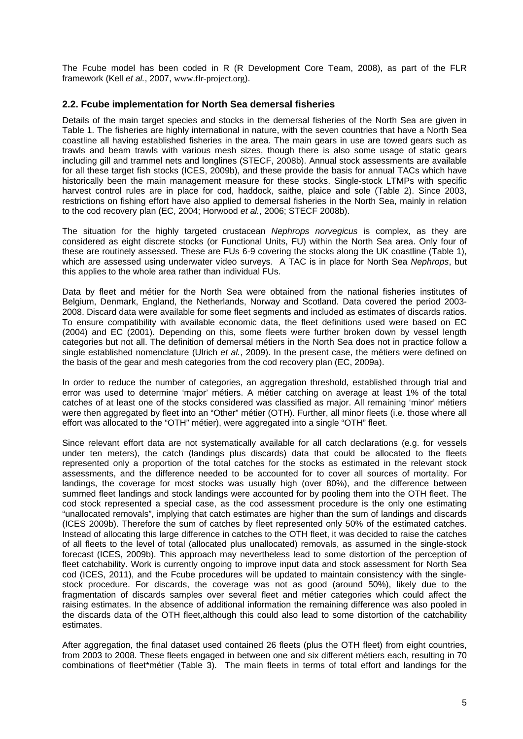The Fcube model has been coded in R (R Development Core Team, 2008), as part of the FLR framework (Kell *et al.*, 2007, www.flr-project.org).

#### **2.2. Fcube implementation for North Sea demersal fisheries**

Details of the main target species and stocks in the demersal fisheries of the North Sea are given in Table 1. The fisheries are highly international in nature, with the seven countries that have a North Sea coastline all having established fisheries in the area. The main gears in use are towed gears such as trawls and beam trawls with various mesh sizes, though there is also some usage of static gears including gill and trammel nets and longlines (STECF, 2008b). Annual stock assessments are available for all these target fish stocks (ICES, 2009b), and these provide the basis for annual TACs which have historically been the main management measure for these stocks. Single-stock LTMPs with specific harvest control rules are in place for cod, haddock, saithe, plaice and sole (Table 2). Since 2003, restrictions on fishing effort have also applied to demersal fisheries in the North Sea, mainly in relation to the cod recovery plan (EC, 2004; Horwood *et al.*, 2006; STECF 2008b).

The situation for the highly targeted crustacean *Nephrops norvegicus* is complex, as they are considered as eight discrete stocks (or Functional Units, FU) within the North Sea area. Only four of these are routinely assessed. These are FUs 6-9 covering the stocks along the UK coastline (Table 1), which are assessed using underwater video surveys. A TAC is in place for North Sea *Nephrops*, but this applies to the whole area rather than individual FUs.

Data by fleet and métier for the North Sea were obtained from the national fisheries institutes of Belgium, Denmark, England, the Netherlands, Norway and Scotland. Data covered the period 2003- 2008. Discard data were available for some fleet segments and included as estimates of discards ratios. To ensure compatibility with available economic data, the fleet definitions used were based on EC (2004) and EC (2001). Depending on this, some fleets were further broken down by vessel length categories but not all. The definition of demersal métiers in the North Sea does not in practice follow a single established nomenclature (Ulrich *et al.*, 2009). In the present case, the métiers were defined on the basis of the gear and mesh categories from the cod recovery plan (EC, 2009a).

In order to reduce the number of categories, an aggregation threshold, established through trial and error was used to determine 'major' métiers. A métier catching on average at least 1% of the total catches of at least one of the stocks considered was classified as major. All remaining 'minor' métiers were then aggregated by fleet into an "Other" métier (OTH). Further, all minor fleets (i.e. those where all effort was allocated to the "OTH" métier), were aggregated into a single "OTH" fleet.

Since relevant effort data are not systematically available for all catch declarations (e.g. for vessels under ten meters), the catch (landings plus discards) data that could be allocated to the fleets represented only a proportion of the total catches for the stocks as estimated in the relevant stock assessments, and the difference needed to be accounted for to cover all sources of mortality. For landings, the coverage for most stocks was usually high (over 80%), and the difference between summed fleet landings and stock landings were accounted for by pooling them into the OTH fleet. The cod stock represented a special case, as the cod assessment procedure is the only one estimating "unallocated removals", implying that catch estimates are higher than the sum of landings and discards (ICES 2009b). Therefore the sum of catches by fleet represented only 50% of the estimated catches. Instead of allocating this large difference in catches to the OTH fleet, it was decided to raise the catches of all fleets to the level of total (allocated plus unallocated) removals, as assumed in the single-stock forecast (ICES, 2009b). This approach may nevertheless lead to some distortion of the perception of fleet catchability. Work is currently ongoing to improve input data and stock assessment for North Sea cod (ICES, 2011), and the Fcube procedures will be updated to maintain consistency with the singlestock procedure. For discards, the coverage was not as good (around 50%), likely due to the fragmentation of discards samples over several fleet and métier categories which could affect the raising estimates. In the absence of additional information the remaining difference was also pooled in the discards data of the OTH fleet,although this could also lead to some distortion of the catchability estimates.

After aggregation, the final dataset used contained 26 fleets (plus the OTH fleet) from eight countries, from 2003 to 2008. These fleets engaged in between one and six different métiers each, resulting in 70 combinations of fleet\*métier (Table 3). The main fleets in terms of total effort and landings for the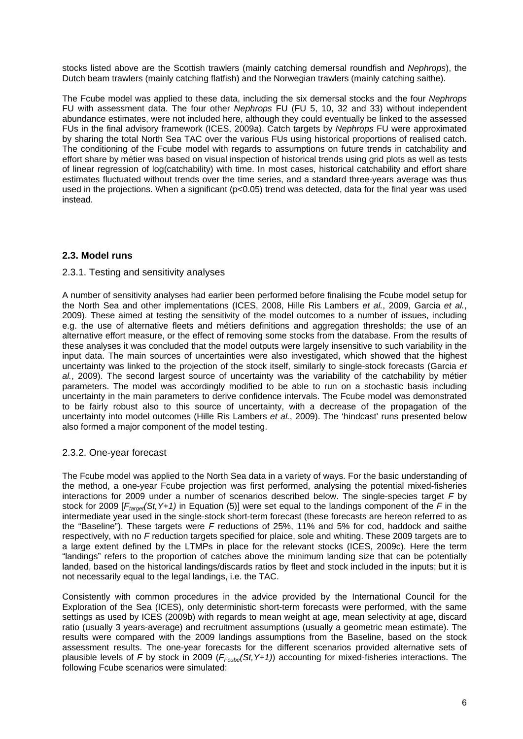stocks listed above are the Scottish trawlers (mainly catching demersal roundfish and *Nephrops*), the Dutch beam trawlers (mainly catching flatfish) and the Norwegian trawlers (mainly catching saithe).

The Fcube model was applied to these data, including the six demersal stocks and the four *Nephrops* FU with assessment data. The four other *Nephrops* FU (FU 5, 10, 32 and 33) without independent abundance estimates, were not included here, although they could eventually be linked to the assessed FUs in the final advisory framework (ICES, 2009a). Catch targets by *Nephrops* FU were approximated by sharing the total North Sea TAC over the various FUs using historical proportions of realised catch. The conditioning of the Fcube model with regards to assumptions on future trends in catchability and effort share by métier was based on visual inspection of historical trends using grid plots as well as tests of linear regression of log(catchability) with time. In most cases, historical catchability and effort share estimates fluctuated without trends over the time series, and a standard three-years average was thus used in the projections. When a significant (p<0.05) trend was detected, data for the final year was used instead.

## **2.3. Model runs**

### 2.3.1. Testing and sensitivity analyses

A number of sensitivity analyses had earlier been performed before finalising the Fcube model setup for the North Sea and other implementations (ICES, 2008, Hille Ris Lambers *et al.*, 2009, Garcia *et al.*, 2009). These aimed at testing the sensitivity of the model outcomes to a number of issues, including e.g. the use of alternative fleets and métiers definitions and aggregation thresholds; the use of an alternative effort measure, or the effect of removing some stocks from the database. From the results of these analyses it was concluded that the model outputs were largely insensitive to such variability in the input data. The main sources of uncertainties were also investigated, which showed that the highest uncertainty was linked to the projection of the stock itself, similarly to single-stock forecasts (Garcia *et al.*, 2009). The second largest source of uncertainty was the variability of the catchability by métier parameters. The model was accordingly modified to be able to run on a stochastic basis including uncertainty in the main parameters to derive confidence intervals. The Fcube model was demonstrated to be fairly robust also to this source of uncertainty, with a decrease of the propagation of the uncertainty into model outcomes (Hille Ris Lambers *et al.*, 2009). The 'hindcast' runs presented below also formed a major component of the model testing.

### 2.3.2. One-year forecast

The Fcube model was applied to the North Sea data in a variety of ways. For the basic understanding of the method, a one-year Fcube projection was first performed, analysing the potential mixed-fisheries interactions for 2009 under a number of scenarios described below. The single-species target *F* by stock for 2009 [*Ftarget(St,Y+1)* in Equation (5)] were set equal to the landings component of the *F* in the intermediate year used in the single-stock short-term forecast (these forecasts are hereon referred to as the "Baseline"). These targets were *F* reductions of 25%, 11% and 5% for cod, haddock and saithe respectively, with no *F* reduction targets specified for plaice, sole and whiting. These 2009 targets are to a large extent defined by the LTMPs in place for the relevant stocks (ICES, 2009c). Here the term "landings" refers to the proportion of catches above the minimum landing size that can be potentially landed, based on the historical landings/discards ratios by fleet and stock included in the inputs; but it is not necessarily equal to the legal landings, i.e. the TAC.

Consistently with common procedures in the advice provided by the International Council for the Exploration of the Sea (ICES), only deterministic short-term forecasts were performed, with the same settings as used by ICES (2009b) with regards to mean weight at age, mean selectivity at age, discard ratio (usually 3 years-average) and recruitment assumptions (usually a geometric mean estimate). The results were compared with the 2009 landings assumptions from the Baseline, based on the stock assessment results. The one-year forecasts for the different scenarios provided alternative sets of plausible levels of *F* by stock in 2009 (*FFcube(St,Y+1)*) accounting for mixed-fisheries interactions. The following Fcube scenarios were simulated: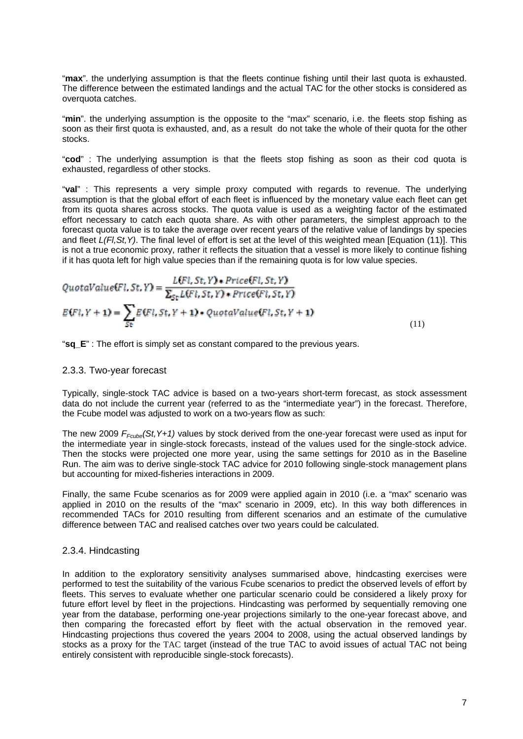"**max**". the underlying assumption is that the fleets continue fishing until their last quota is exhausted. The difference between the estimated landings and the actual TAC for the other stocks is considered as overquota catches.

"**min**". the underlying assumption is the opposite to the "max" scenario, i.e. the fleets stop fishing as soon as their first quota is exhausted, and, as a result do not take the whole of their quota for the other stocks.

"**cod**" : The underlying assumption is that the fleets stop fishing as soon as their cod quota is exhausted, regardless of other stocks.

"**val**" : This represents a very simple proxy computed with regards to revenue. The underlying assumption is that the global effort of each fleet is influenced by the monetary value each fleet can get from its quota shares across stocks. The quota value is used as a weighting factor of the estimated effort necessary to catch each quota share. As with other parameters, the simplest approach to the forecast quota value is to take the average over recent years of the relative value of landings by species and fleet *L(Fl,St,Y)*. The final level of effort is set at the level of this weighted mean [Equation (11)]. This is not a true economic proxy, rather it reflects the situation that a vessel is more likely to continue fishing if it has quota left for high value species than if the remaining quota is for low value species.

QuotaValue(Fl, St, Y) = 
$$
\frac{L(Fl, St, Y) * Price(Fl, St, Y)}{\sum_{St} L(Fl, St, Y) * Price(Fl, St, Y)}
$$

$$
E(Fl, Y + 1) = \sum_{St} E(Fl, St, Y + 1) * Quotavalue(Fl, St, Y + 1)
$$
(11)

"**sq\_E**" : The effort is simply set as constant compared to the previous years.

#### 2.3.3. Two-year forecast

Typically, single-stock TAC advice is based on a two-years short-term forecast, as stock assessment data do not include the current year (referred to as the "intermediate year") in the forecast. Therefore, the Fcube model was adjusted to work on a two-years flow as such:

The new 2009 *FFcube(St,Y+1)* values by stock derived from the one-year forecast were used as input for the intermediate year in single-stock forecasts, instead of the values used for the single-stock advice. Then the stocks were projected one more year, using the same settings for 2010 as in the Baseline Run. The aim was to derive single-stock TAC advice for 2010 following single-stock management plans but accounting for mixed-fisheries interactions in 2009.

Finally, the same Fcube scenarios as for 2009 were applied again in 2010 (i.e. a "max" scenario was applied in 2010 on the results of the "max" scenario in 2009, etc). In this way both differences in recommended TACs for 2010 resulting from different scenarios and an estimate of the cumulative difference between TAC and realised catches over two years could be calculated.

#### 2.3.4. Hindcasting

In addition to the exploratory sensitivity analyses summarised above, hindcasting exercises were performed to test the suitability of the various Fcube scenarios to predict the observed levels of effort by fleets. This serves to evaluate whether one particular scenario could be considered a likely proxy for future effort level by fleet in the projections. Hindcasting was performed by sequentially removing one year from the database, performing one-year projections similarly to the one-year forecast above, and then comparing the forecasted effort by fleet with the actual observation in the removed year. Hindcasting projections thus covered the years 2004 to 2008, using the actual observed landings by stocks as a proxy for the TAC target (instead of the true TAC to avoid issues of actual TAC not being entirely consistent with reproducible single-stock forecasts).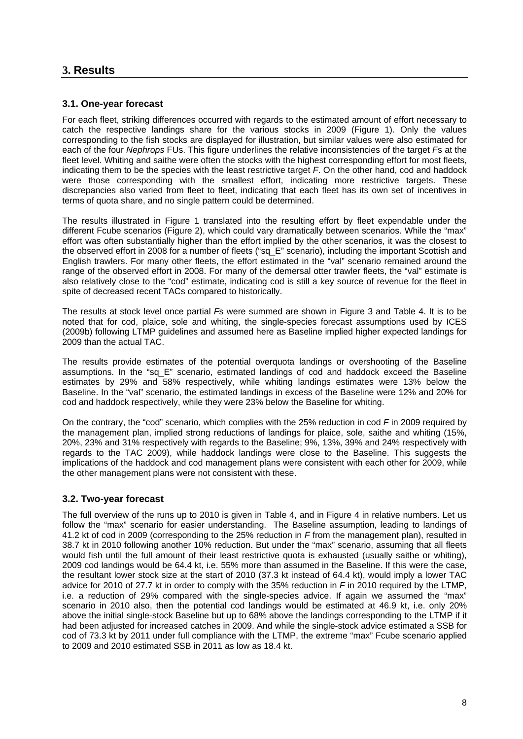## **3. Results**

### **3.1. One-year forecast**

For each fleet, striking differences occurred with regards to the estimated amount of effort necessary to catch the respective landings share for the various stocks in 2009 (Figure 1). Only the values corresponding to the fish stocks are displayed for illustration, but similar values were also estimated for each of the four *Nephrops* FUs. This figure underlines the relative inconsistencies of the target *F*s at the fleet level. Whiting and saithe were often the stocks with the highest corresponding effort for most fleets, indicating them to be the species with the least restrictive target *F*. On the other hand, cod and haddock were those corresponding with the smallest effort, indicating more restrictive targets. These discrepancies also varied from fleet to fleet, indicating that each fleet has its own set of incentives in terms of quota share, and no single pattern could be determined.

The results illustrated in Figure 1 translated into the resulting effort by fleet expendable under the different Fcube scenarios (Figure 2), which could vary dramatically between scenarios. While the "max" effort was often substantially higher than the effort implied by the other scenarios, it was the closest to the observed effort in 2008 for a number of fleets ("sq\_E" scenario), including the important Scottish and English trawlers. For many other fleets, the effort estimated in the "val" scenario remained around the range of the observed effort in 2008. For many of the demersal otter trawler fleets, the "val" estimate is also relatively close to the "cod" estimate, indicating cod is still a key source of revenue for the fleet in spite of decreased recent TACs compared to historically.

The results at stock level once partial *F*s were summed are shown in Figure 3 and Table 4. It is to be noted that for cod, plaice, sole and whiting, the single-species forecast assumptions used by ICES (2009b) following LTMP guidelines and assumed here as Baseline implied higher expected landings for 2009 than the actual TAC.

The results provide estimates of the potential overquota landings or overshooting of the Baseline assumptions. In the "sq\_E" scenario, estimated landings of cod and haddock exceed the Baseline estimates by 29% and 58% respectively, while whiting landings estimates were 13% below the Baseline. In the "val" scenario, the estimated landings in excess of the Baseline were 12% and 20% for cod and haddock respectively, while they were 23% below the Baseline for whiting.

On the contrary, the "cod" scenario, which complies with the 25% reduction in cod *F* in 2009 required by the management plan, implied strong reductions of landings for plaice, sole, saithe and whiting (15%, 20%, 23% and 31% respectively with regards to the Baseline; 9%, 13%, 39% and 24% respectively with regards to the TAC 2009), while haddock landings were close to the Baseline. This suggests the implications of the haddock and cod management plans were consistent with each other for 2009, while the other management plans were not consistent with these.

### **3.2. Two-year forecast**

The full overview of the runs up to 2010 is given in Table 4, and in Figure 4 in relative numbers. Let us follow the "max" scenario for easier understanding. The Baseline assumption, leading to landings of 41.2 kt of cod in 2009 (corresponding to the 25% reduction in *F* from the management plan), resulted in 38.7 kt in 2010 following another 10% reduction. But under the "max" scenario, assuming that all fleets would fish until the full amount of their least restrictive quota is exhausted (usually saithe or whiting), 2009 cod landings would be 64.4 kt, i.e. 55% more than assumed in the Baseline. If this were the case, the resultant lower stock size at the start of 2010 (37.3 kt instead of 64.4 kt), would imply a lower TAC advice for 2010 of 27.7 kt in order to comply with the 35% reduction in *F* in 2010 required by the LTMP, i.e. a reduction of 29% compared with the single-species advice. If again we assumed the "max" scenario in 2010 also, then the potential cod landings would be estimated at 46.9 kt, i.e. only 20% above the initial single-stock Baseline but up to 68% above the landings corresponding to the LTMP if it had been adjusted for increased catches in 2009. And while the single-stock advice estimated a SSB for cod of 73.3 kt by 2011 under full compliance with the LTMP, the extreme "max" Fcube scenario applied to 2009 and 2010 estimated SSB in 2011 as low as 18.4 kt.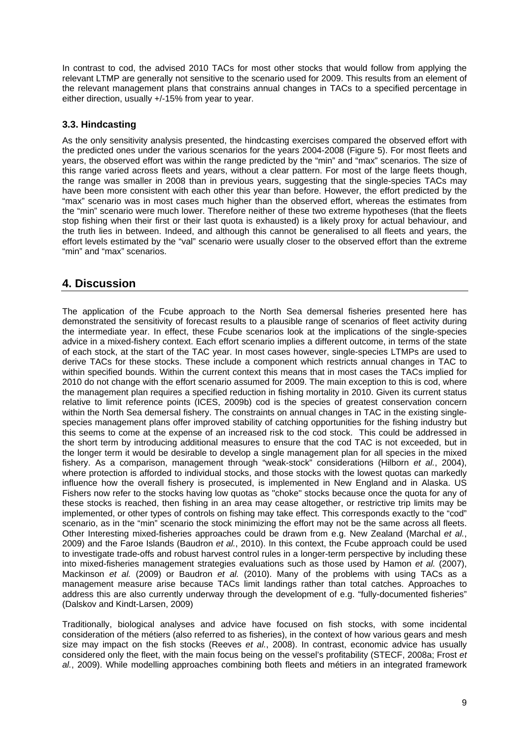In contrast to cod, the advised 2010 TACs for most other stocks that would follow from applying the relevant LTMP are generally not sensitive to the scenario used for 2009. This results from an element of the relevant management plans that constrains annual changes in TACs to a specified percentage in either direction, usually +/-15% from year to year.

### **3.3. Hindcasting**

As the only sensitivity analysis presented, the hindcasting exercises compared the observed effort with the predicted ones under the various scenarios for the years 2004-2008 (Figure 5). For most fleets and years, the observed effort was within the range predicted by the "min" and "max" scenarios. The size of this range varied across fleets and years, without a clear pattern. For most of the large fleets though, the range was smaller in 2008 than in previous years, suggesting that the single-species TACs may have been more consistent with each other this year than before. However, the effort predicted by the "max" scenario was in most cases much higher than the observed effort, whereas the estimates from the "min" scenario were much lower. Therefore neither of these two extreme hypotheses (that the fleets stop fishing when their first or their last quota is exhausted) is a likely proxy for actual behaviour, and the truth lies in between. Indeed, and although this cannot be generalised to all fleets and years, the effort levels estimated by the "val" scenario were usually closer to the observed effort than the extreme "min" and "max" scenarios.

## **4. Discussion**

The application of the Fcube approach to the North Sea demersal fisheries presented here has demonstrated the sensitivity of forecast results to a plausible range of scenarios of fleet activity during the intermediate year. In effect, these Fcube scenarios look at the implications of the single-species advice in a mixed-fishery context. Each effort scenario implies a different outcome, in terms of the state of each stock, at the start of the TAC year. In most cases however, single-species LTMPs are used to derive TACs for these stocks. These include a component which restricts annual changes in TAC to within specified bounds. Within the current context this means that in most cases the TACs implied for 2010 do not change with the effort scenario assumed for 2009. The main exception to this is cod, where the management plan requires a specified reduction in fishing mortality in 2010. Given its current status relative to limit reference points (ICES, 2009b) cod is the species of greatest conservation concern within the North Sea demersal fishery. The constraints on annual changes in TAC in the existing singlespecies management plans offer improved stability of catching opportunities for the fishing industry but this seems to come at the expense of an increased risk to the cod stock. This could be addressed in the short term by introducing additional measures to ensure that the cod TAC is not exceeded, but in the longer term it would be desirable to develop a single management plan for all species in the mixed fishery. As a comparison, management through "weak-stock" considerations (Hilborn *et al.*, 2004), where protection is afforded to individual stocks, and those stocks with the lowest quotas can markedly influence how the overall fishery is prosecuted, is implemented in New England and in Alaska. US Fishers now refer to the stocks having low quotas as "choke" stocks because once the quota for any of these stocks is reached, then fishing in an area may cease altogether, or restrictive trip limits may be implemented, or other types of controls on fishing may take effect. This corresponds exactly to the "cod" scenario, as in the "min" scenario the stock minimizing the effort may not be the same across all fleets. Other Interesting mixed-fisheries approaches could be drawn from e.g. New Zealand (Marchal *et al.*, 2009) and the Faroe Islands (Baudron *et al.*, 2010). In this context, the Fcube approach could be used to investigate trade-offs and robust harvest control rules in a longer-term perspective by including these into mixed-fisheries management strategies evaluations such as those used by Hamon *et al.* (2007), Mackinson *et al.* (2009) or Baudron *et al.* (2010). Many of the problems with using TACs as a management measure arise because TACs limit landings rather than total catches. Approaches to address this are also currently underway through the development of e.g. "fully-documented fisheries" (Dalskov and Kindt-Larsen, 2009)

Traditionally, biological analyses and advice have focused on fish stocks, with some incidental consideration of the métiers (also referred to as fisheries), in the context of how various gears and mesh size may impact on the fish stocks (Reeves *et al.*, 2008). In contrast, economic advice has usually considered only the fleet, with the main focus being on the vessel's profitability (STECF, 2008a; Frost *et al.*, 2009). While modelling approaches combining both fleets and métiers in an integrated framework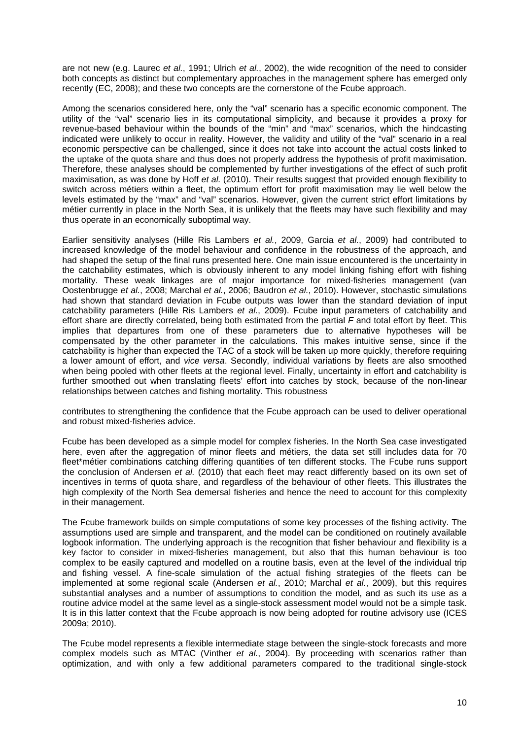are not new (e.g. Laurec *et al.*, 1991; Ulrich *et al.*, 2002), the wide recognition of the need to consider both concepts as distinct but complementary approaches in the management sphere has emerged only recently (EC, 2008); and these two concepts are the cornerstone of the Fcube approach.

Among the scenarios considered here, only the "val" scenario has a specific economic component. The utility of the "val" scenario lies in its computational simplicity, and because it provides a proxy for revenue-based behaviour within the bounds of the "min" and "max" scenarios, which the hindcasting indicated were unlikely to occur in reality. However, the validity and utility of the "val" scenario in a real economic perspective can be challenged, since it does not take into account the actual costs linked to the uptake of the quota share and thus does not properly address the hypothesis of profit maximisation. Therefore, these analyses should be complemented by further investigations of the effect of such profit maximisation, as was done by Hoff *et al.* (2010). Their results suggest that provided enough flexibility to switch across métiers within a fleet, the optimum effort for profit maximisation may lie well below the levels estimated by the "max" and "val" scenarios. However, given the current strict effort limitations by métier currently in place in the North Sea, it is unlikely that the fleets may have such flexibility and may thus operate in an economically suboptimal way.

Earlier sensitivity analyses (Hille Ris Lambers *et al.*, 2009, Garcia *et al.*, 2009) had contributed to increased knowledge of the model behaviour and confidence in the robustness of the approach, and had shaped the setup of the final runs presented here. One main issue encountered is the uncertainty in the catchability estimates, which is obviously inherent to any model linking fishing effort with fishing mortality. These weak linkages are of major importance for mixed-fisheries management (van Oostenbrugge *et al.*, 2008; Marchal *et al.*, 2006; Baudron *et al.*, 2010). However, stochastic simulations had shown that standard deviation in Fcube outputs was lower than the standard deviation of input catchability parameters (Hille Ris Lambers *et al.*, 2009). Fcube input parameters of catchability and effort share are directly correlated, being both estimated from the partial *F* and total effort by fleet. This implies that departures from one of these parameters due to alternative hypotheses will be compensated by the other parameter in the calculations. This makes intuitive sense, since if the catchability is higher than expected the TAC of a stock will be taken up more quickly, therefore requiring a lower amount of effort, and *vice versa*. Secondly, individual variations by fleets are also smoothed when being pooled with other fleets at the regional level. Finally, uncertainty in effort and catchability is further smoothed out when translating fleets' effort into catches by stock, because of the non-linear relationships between catches and fishing mortality. This robustness

contributes to strengthening the confidence that the Fcube approach can be used to deliver operational and robust mixed-fisheries advice.

Fcube has been developed as a simple model for complex fisheries. In the North Sea case investigated here, even after the aggregation of minor fleets and métiers, the data set still includes data for 70 fleet\*métier combinations catching differing quantities of ten different stocks. The Fcube runs support the conclusion of Andersen *et al.* (2010) that each fleet may react differently based on its own set of incentives in terms of quota share, and regardless of the behaviour of other fleets. This illustrates the high complexity of the North Sea demersal fisheries and hence the need to account for this complexity in their management.

The Fcube framework builds on simple computations of some key processes of the fishing activity. The assumptions used are simple and transparent, and the model can be conditioned on routinely available logbook information. The underlying approach is the recognition that fisher behaviour and flexibility is a key factor to consider in mixed-fisheries management, but also that this human behaviour is too complex to be easily captured and modelled on a routine basis, even at the level of the individual trip and fishing vessel. A fine-scale simulation of the actual fishing strategies of the fleets can be implemented at some regional scale (Andersen *et al.*, 2010; Marchal *et al.*, 2009), but this requires substantial analyses and a number of assumptions to condition the model, and as such its use as a routine advice model at the same level as a single-stock assessment model would not be a simple task. It is in this latter context that the Fcube approach is now being adopted for routine advisory use (ICES 2009a; 2010).

The Fcube model represents a flexible intermediate stage between the single-stock forecasts and more complex models such as MTAC (Vinther *et al.*, 2004). By proceeding with scenarios rather than optimization, and with only a few additional parameters compared to the traditional single-stock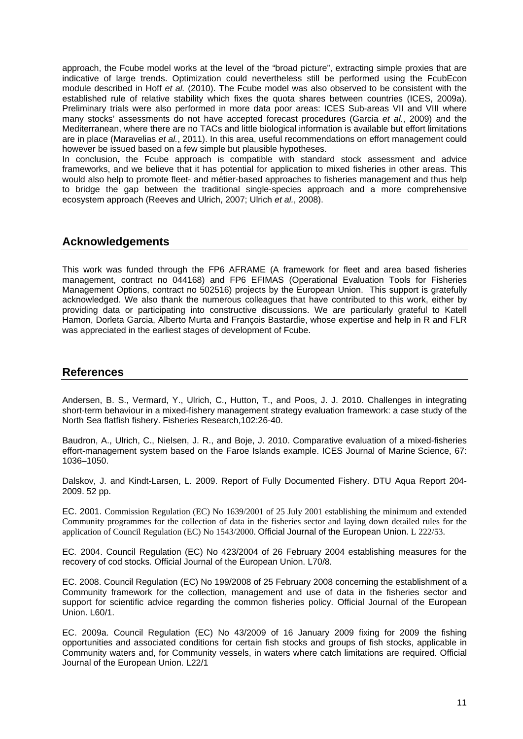approach, the Fcube model works at the level of the "broad picture", extracting simple proxies that are indicative of large trends. Optimization could nevertheless still be performed using the FcubEcon module described in Hoff *et al.* (2010). The Fcube model was also observed to be consistent with the established rule of relative stability which fixes the quota shares between countries (ICES, 2009a). Preliminary trials were also performed in more data poor areas: ICES Sub-areas VII and VIII where many stocks' assessments do not have accepted forecast procedures (Garcia *et al.*, 2009) and the Mediterranean, where there are no TACs and little biological information is available but effort limitations are in place (Maravelias *et al.*, 2011). In this area, useful recommendations on effort management could however be issued based on a few simple but plausible hypotheses.

In conclusion, the Fcube approach is compatible with standard stock assessment and advice frameworks, and we believe that it has potential for application to mixed fisheries in other areas. This would also help to promote fleet- and métier-based approaches to fisheries management and thus help to bridge the gap between the traditional single-species approach and a more comprehensive ecosystem approach (Reeves and Ulrich, 2007; Ulrich *et al.*, 2008).

## **Acknowledgements**

This work was funded through the FP6 AFRAME (A framework for fleet and area based fisheries management, contract no 044168) and FP6 EFIMAS (Operational Evaluation Tools for Fisheries Management Options, contract no 502516) projects by the European Union. This support is gratefully acknowledged. We also thank the numerous colleagues that have contributed to this work, either by providing data or participating into constructive discussions. We are particularly grateful to Katell Hamon, Dorleta Garcia, Alberto Murta and François Bastardie, whose expertise and help in R and FLR was appreciated in the earliest stages of development of Fcube.

## **References**

Andersen, B. S., Vermard, Y., Ulrich, C., Hutton, T., and Poos, J. J. 2010. Challenges in integrating short-term behaviour in a mixed-fishery management strategy evaluation framework: a case study of the North Sea flatfish fishery. Fisheries Research,102:26-40.

Baudron, A., Ulrich, C., Nielsen, J. R., and Boje, J. 2010. Comparative evaluation of a mixed-fisheries effort-management system based on the Faroe Islands example. ICES Journal of Marine Science, 67: 1036–1050.

Dalskov, J. and Kindt-Larsen, L. 2009. Report of Fully Documented Fishery. DTU Aqua Report 204- 2009. 52 pp.

EC. 2001. Commission Regulation (EC) No 1639/2001 of 25 July 2001 establishing the minimum and extended Community programmes for the collection of data in the fisheries sector and laying down detailed rules for the application of Council Regulation (EC) No 1543/2000. Official Journal of the European Union. L 222/53.

EC*.* 2004. Council Regulation (EC) No 423/2004 of 26 February 2004 establishing measures for the recovery of cod stocks*.* Official Journal of the European Union. L70/8*.* 

EC. 2008. Council Regulation (EC) No 199/2008 of 25 February 2008 concerning the establishment of a Community framework for the collection, management and use of data in the fisheries sector and support for scientific advice regarding the common fisheries policy. Official Journal of the European Union. L60/1.

EC. 2009a. Council Regulation (EC) No 43/2009 of 16 January 2009 fixing for 2009 the fishing opportunities and associated conditions for certain fish stocks and groups of fish stocks, applicable in Community waters and, for Community vessels, in waters where catch limitations are required. Official Journal of the European Union. L22/1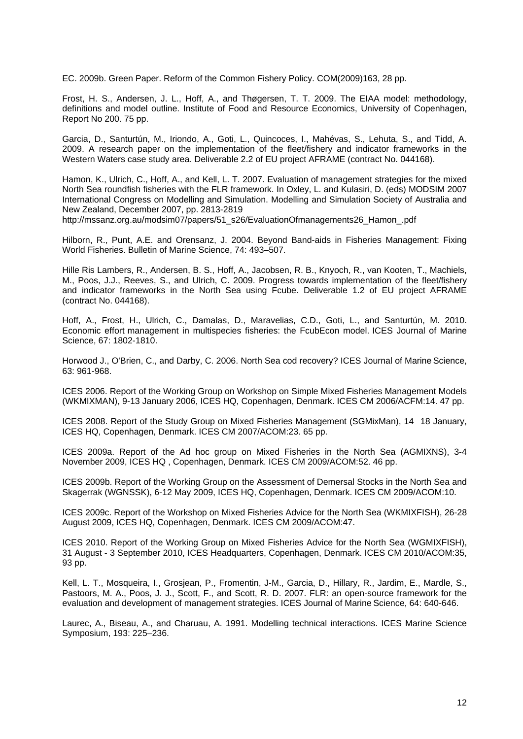EC. 2009b. Green Paper. Reform of the Common Fishery Policy. COM(2009)163, 28 pp.

Frost, H. S., Andersen, J. L., Hoff, A., and Thøgersen, T. T. 2009. The EIAA model: methodology, definitions and model outline. Institute of Food and Resource Economics, University of Copenhagen, Report No 200. 75 pp.

Garcia, D., Santurtún, M., Iriondo, A., Goti, L., Quincoces, I., Mahévas, S., Lehuta, S., and Tidd, A. 2009. A research paper on the implementation of the fleet/fishery and indicator frameworks in the Western Waters case study area. Deliverable 2.2 of EU project AFRAME (contract No. 044168).

Hamon, K., Ulrich, C., Hoff, A., and Kell, L. T. 2007. Evaluation of management strategies for the mixed North Sea roundfish fisheries with the FLR framework. In Oxley, L. and Kulasiri, D. (eds) MODSIM 2007 International Congress on Modelling and Simulation. Modelling and Simulation Society of Australia and New Zealand, December 2007, pp. 2813-2819

http://mssanz.org.au/modsim07/papers/51\_s26/EvaluationOfmanagements26\_Hamon\_.pdf

Hilborn, R., Punt, A.E. and Orensanz, J. 2004. Beyond Band-aids in Fisheries Management: Fixing World Fisheries. Bulletin of Marine Science, 74: 493–507.

Hille Ris Lambers, R., Andersen, B. S., Hoff, A., Jacobsen, R. B., Knyoch, R., van Kooten, T., Machiels, M., Poos, J.J., Reeves, S., and Ulrich, C. 2009. Progress towards implementation of the fleet/fishery and indicator frameworks in the North Sea using Fcube. Deliverable 1.2 of EU project AFRAME (contract No. 044168).

Hoff, A., Frost, H., Ulrich, C., Damalas, D., Maravelias, C.D., Goti, L., and Santurtún, M. 2010. Economic effort management in multispecies fisheries: the FcubEcon model. ICES Journal of Marine Science, 67: 1802-1810.

Horwood J., O'Brien, C., and Darby, C. 2006. North Sea cod recovery? ICES Journal of Marine Science, 63: 961-968.

ICES 2006. Report of the Working Group on Workshop on Simple Mixed Fisheries Management Models (WKMIXMAN), 9-13 January 2006, ICES HQ, Copenhagen, Denmark. ICES CM 2006/ACFM:14. 47 pp.

ICES 2008. Report of the Study Group on Mixed Fisheries Management (SGMixMan), 14 18 January, ICES HQ, Copenhagen, Denmark. ICES CM 2007/ACOM:23. 65 pp.

ICES 2009a. Report of the Ad hoc group on Mixed Fisheries in the North Sea (AGMIXNS), 3-4 November 2009, ICES HQ , Copenhagen, Denmark. ICES CM 2009/ACOM:52. 46 pp.

ICES 2009b. Report of the Working Group on the Assessment of Demersal Stocks in the North Sea and Skagerrak (WGNSSK), 6-12 May 2009, ICES HQ, Copenhagen, Denmark. ICES CM 2009/ACOM:10.

ICES 2009c. Report of the Workshop on Mixed Fisheries Advice for the North Sea (WKMIXFISH), 26-28 August 2009, ICES HQ, Copenhagen, Denmark. ICES CM 2009/ACOM:47.

ICES 2010. Report of the Working Group on Mixed Fisheries Advice for the North Sea (WGMIXFISH), 31 August - 3 September 2010, ICES Headquarters, Copenhagen, Denmark. ICES CM 2010/ACOM:35, 93 pp.

Kell, L. T., Mosqueira, I., Grosjean, P., Fromentin, J-M., Garcia, D., Hillary, R., Jardim, E., Mardle, S., Pastoors, M. A., Poos, J. J., Scott, F., and Scott, R. D. 2007. FLR: an open-source framework for the evaluation and development of management strategies. ICES Journal of Marine Science, 64: 640-646.

Laurec, A., Biseau, A., and Charuau, A. 1991. Modelling technical interactions. ICES Marine Science Symposium, 193: 225–236.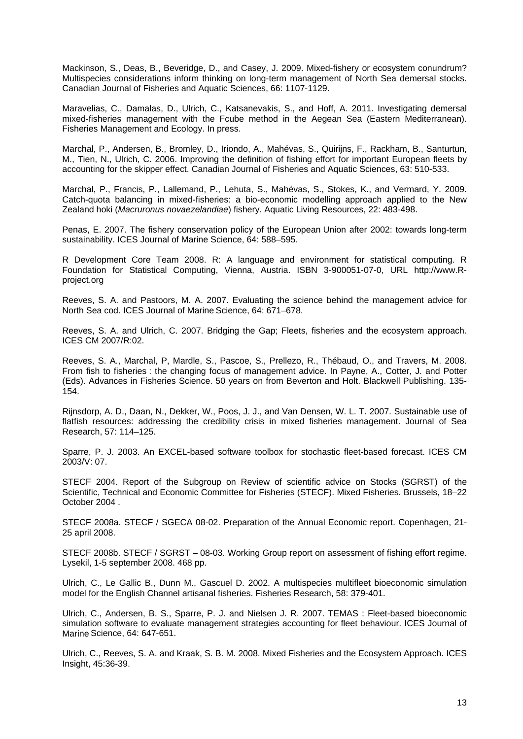Mackinson, S., Deas, B., Beveridge, D., and Casey, J. 2009. Mixed-fishery or ecosystem conundrum? Multispecies considerations inform thinking on long-term management of North Sea demersal stocks. Canadian Journal of Fisheries and Aquatic Sciences, 66: 1107-1129.

Maravelias, C., Damalas, D., Ulrich, C., Katsanevakis, S., and Hoff, A. 2011. Investigating demersal mixed-fisheries management with the Fcube method in the Aegean Sea (Eastern Mediterranean). Fisheries Management and Ecology. In press.

Marchal, P., Andersen, B., Bromley, D., Iriondo, A., Mahévas, S., Quirijns, F., Rackham, B., Santurtun, M., Tien, N., Ulrich, C. 2006. Improving the definition of fishing effort for important European fleets by accounting for the skipper effect. Canadian Journal of Fisheries and Aquatic Sciences, 63: 510-533.

Marchal, P., Francis, P., Lallemand, P., Lehuta, S., Mahévas, S., Stokes, K., and Vermard, Y. 2009. Catch-quota balancing in mixed-fisheries: a bio-economic modelling approach applied to the New Zealand hoki (*Macruronus novaezelandiae*) fishery. Aquatic Living Resources, 22: 483-498.

Penas, E. 2007. The fishery conservation policy of the European Union after 2002: towards long-term sustainability. ICES Journal of Marine Science, 64: 588–595.

R Development Core Team 2008. R: A language and environment for statistical computing. R Foundation for Statistical Computing, Vienna, Austria. ISBN 3-900051-07-0, URL http://www.Rproject.org

Reeves, S. A. and Pastoors, M. A. 2007. Evaluating the science behind the management advice for North Sea cod. ICES Journal of Marine Science, 64: 671–678.

Reeves, S. A. and Ulrich, C. 2007. Bridging the Gap; Fleets, fisheries and the ecosystem approach. ICES CM 2007/R:02.

Reeves, S. A., Marchal, P, Mardle, S., Pascoe, S., Prellezo, R., Thébaud, O., and Travers, M. 2008. From fish to fisheries : the changing focus of management advice. In Payne, A., Cotter, J. and Potter (Eds). Advances in Fisheries Science. 50 years on from Beverton and Holt. Blackwell Publishing. 135- 154.

Rijnsdorp, A. D., Daan, N., Dekker, W., Poos, J. J., and Van Densen, W. L. T. 2007. Sustainable use of flatfish resources: addressing the credibility crisis in mixed fisheries management. Journal of Sea Research, 57: 114–125.

Sparre, P. J. 2003. An EXCEL-based software toolbox for stochastic fleet-based forecast. ICES CM 2003/V: 07.

STECF 2004. Report of the Subgroup on Review of scientific advice on Stocks (SGRST) of the Scientific, Technical and Economic Committee for Fisheries (STECF). Mixed Fisheries. Brussels, 18–22 October 2004 .

STECF 2008a. STECF / SGECA 08-02. Preparation of the Annual Economic report. Copenhagen, 21- 25 april 2008.

STECF 2008b. STECF / SGRST – 08-03. Working Group report on assessment of fishing effort regime. Lysekil, 1-5 september 2008. 468 pp.

Ulrich, C., Le Gallic B., Dunn M., Gascuel D. 2002. A multispecies multifleet bioeconomic simulation model for the English Channel artisanal fisheries. Fisheries Research, 58: 379-401.

Ulrich, C., Andersen, B. S., Sparre, P. J. and Nielsen J. R. 2007. TEMAS : Fleet-based bioeconomic simulation software to evaluate management strategies accounting for fleet behaviour. ICES Journal of Marine Science, 64: 647-651.

Ulrich, C., Reeves, S. A. and Kraak, S. B. M. 2008. Mixed Fisheries and the Ecosystem Approach. ICES Insight, 45:36-39.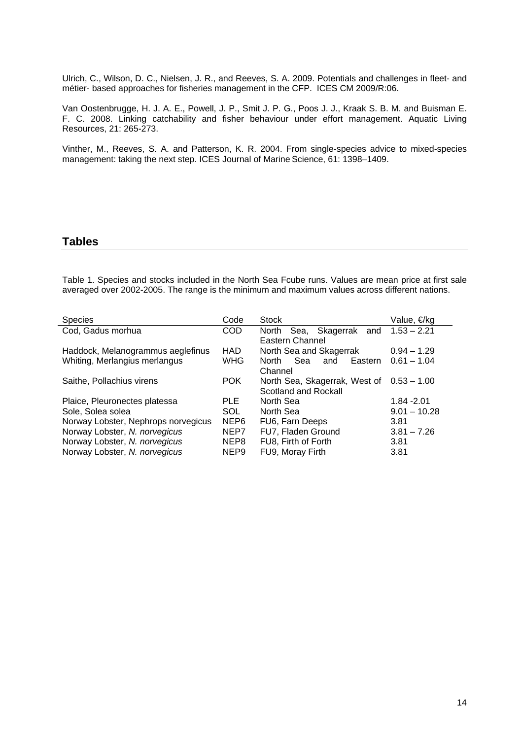Ulrich, C., Wilson, D. C., Nielsen, J. R., and Reeves, S. A. 2009. Potentials and challenges in fleet- and métier- based approaches for fisheries management in the CFP. ICES CM 2009/R:06.

Van Oostenbrugge, H. J. A. E., Powell, J. P., Smit J. P. G., Poos J. J., Kraak S. B. M. and Buisman E. F. C. 2008. Linking catchability and fisher behaviour under effort management. Aquatic Living Resources, 21: 265-273.

Vinther, M., Reeves, S. A. and Patterson, K. R. 2004. From single-species advice to mixed-species management: taking the next step. ICES Journal of Marine Science, 61: 1398-1409.

#### **Tables**

Table 1. Species and stocks included in the North Sea Fcube runs. Values are mean price at first sale averaged over 2002-2005. The range is the minimum and maximum values across different nations.

| Code             | <b>Stock</b>                              | Value, €/kg    |
|------------------|-------------------------------------------|----------------|
| <b>COD</b>       | Sea, Skagerrak and<br>North               | $1.53 - 2.21$  |
|                  | Eastern Channel                           |                |
| HAD.             | North Sea and Skagerrak                   | $0.94 - 1.29$  |
| <b>WHG</b>       | Eastern<br>Sea<br>North<br>and            | $0.61 - 1.04$  |
|                  | Channel                                   |                |
| <b>POK</b>       | North Sea, Skagerrak, West of 0.53 - 1.00 |                |
|                  | Scotland and Rockall                      |                |
| PLE.             | North Sea                                 | $1.84 - 2.01$  |
| <b>SOL</b>       | North Sea                                 | $9.01 - 10.28$ |
| NEP6             | FU6, Farn Deeps                           | 3.81           |
| NEP7             | FU7, Fladen Ground                        | $3.81 - 7.26$  |
| NEP8             | FU8, Firth of Forth                       | 3.81           |
| NEP <sub>9</sub> | FU9, Moray Firth                          | 3.81           |
|                  |                                           |                |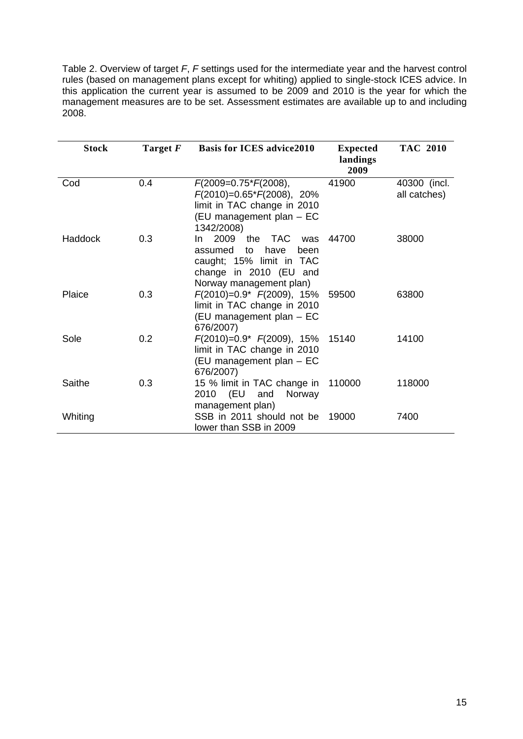Table 2. Overview of target *F*, *F* settings used for the intermediate year and the harvest control rules (based on management plans except for whiting) applied to single-stock ICES advice. In this application the current year is assumed to be 2009 and 2010 is the year for which the management measures are to be set. Assessment estimates are available up to and including 2008.

| Stock   | Target F | <b>Basis for ICES advice2010</b>                                                                                                                    | <b>Expected</b><br>landings<br>2009 | <b>TAC 2010</b>              |
|---------|----------|-----------------------------------------------------------------------------------------------------------------------------------------------------|-------------------------------------|------------------------------|
| Cod     | 0.4      | $F(2009=0.75*F(2008)),$<br>$F(2010)=0.65*F(2008), 20%$<br>limit in TAC change in 2010<br>(EU management plan - EC<br>1342/2008)                     | 41900                               | 40300 (incl.<br>all catches) |
| Haddock | 0.3      | 2009<br>the<br>TAC.<br>In.<br>was<br>have<br>assumed<br>to<br>been<br>caught; 15% limit in TAC<br>change in 2010 (EU and<br>Norway management plan) | 44700                               | 38000                        |
| Plaice  | 0.3      | $F(2010)=0.9$ * $F(2009)$ , 15%<br>limit in TAC change in 2010<br>(EU management plan - EC<br>676/2007)                                             | 59500                               | 63800                        |
| Sole    | 0.2      | $F(2010)=0.9* F(2009), 15%$<br>limit in TAC change in 2010<br>(EU management plan - EC<br>676/2007)                                                 | 15140                               | 14100                        |
| Saithe  | 0.3      | 15 % limit in TAC change in<br>2010 (EU<br>Norway<br>and<br>management plan)                                                                        | 110000                              | 118000                       |
| Whiting |          | SSB in 2011 should not be<br>lower than SSB in 2009                                                                                                 | 19000                               | 7400                         |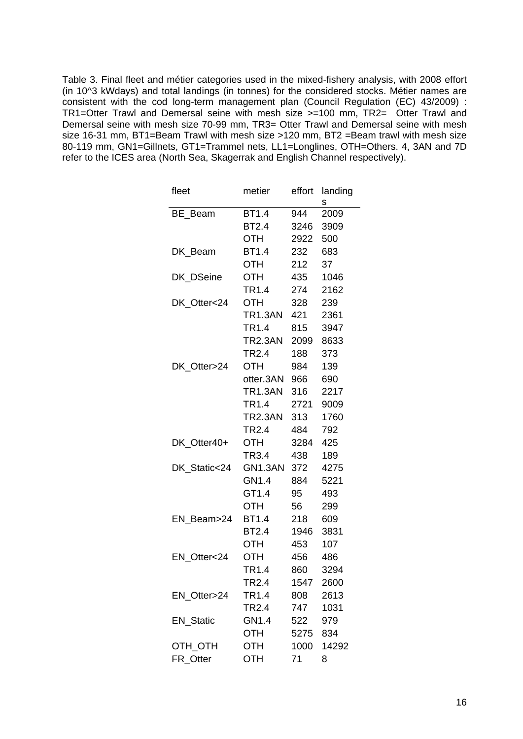Table 3. Final fleet and métier categories used in the mixed-fishery analysis, with 2008 effort (in 10^3 kWdays) and total landings (in tonnes) for the considered stocks. Métier names are consistent with the cod long-term management plan (Council Regulation (EC) 43/2009) : TR1=Otter Trawl and Demersal seine with mesh size >=100 mm, TR2= Otter Trawl and Demersal seine with mesh size 70-99 mm, TR3= Otter Trawl and Demersal seine with mesh size 16-31 mm, BT1=Beam Trawl with mesh size >120 mm, BT2 =Beam trawl with mesh size 80-119 mm, GN1=Gillnets, GT1=Trammel nets, LL1=Longlines, OTH=Others. 4, 3AN and 7D refer to the ICES area (North Sea, Skagerrak and English Channel respectively).

| fleet            | metier            | effort | landing |
|------------------|-------------------|--------|---------|
|                  |                   |        | s       |
| BE Beam          | <b>BT1.4</b>      | 944    | 2009    |
|                  | <b>BT2.4</b>      | 3246   | 3909    |
|                  | OTH               | 2922   | 500     |
| DK_Beam          | BT1.4             | 232    | 683     |
|                  | OTH               | 212    | 37      |
| DK_DSeine        | OTH               | 435    | 1046    |
|                  | TR1.4             | 274    | 2162    |
| DK Otter<24      | OTH               | 328    | 239     |
|                  | TR1.3AN           | 421    | 2361    |
|                  | TR1.4             | 815    | 3947    |
|                  | TR2.3AN 2099      |        | 8633    |
|                  | <b>TR2.4</b>      | 188    | 373     |
| DK_Otter>24      | OTH               | 984    | 139     |
|                  | otter.3AN 966     |        | 690     |
|                  | TR1.3AN           | 316    | 2217    |
|                  | TR1.4             | 2721   | 9009    |
|                  | TR2.3AN           | 313    | 1760    |
|                  | TR <sub>2.4</sub> | 484    | 792     |
| DK_Otter40+      | OTH               | 3284   | 425     |
|                  | TR3.4             | 438    | 189     |
| DK_Static<24     | GN1.3AN           | 372    | 4275    |
|                  | GN1.4             | 884    | 5221    |
|                  | GT1.4             | 95     | 493     |
|                  | OTH               | 56     | 299     |
| EN_Beam>24       | BT1.4             | 218    | 609     |
|                  | <b>BT2.4</b>      | 1946   | 3831    |
|                  | <b>OTH</b>        | 453    | 107     |
| EN Otter<24      | <b>OTH</b>        | 456    | 486     |
|                  | TR1.4             | 860    | 3294    |
|                  | TR <sub>2.4</sub> | 1547   | 2600    |
| EN Otter>24      | TR <sub>1.4</sub> | 808    | 2613    |
|                  | TR <sub>2.4</sub> | 747    | 1031    |
| <b>EN_Static</b> | GN1.4             | 522    | 979     |
|                  | OTH               | 5275   | 834     |
| OTH_OTH          | OTH               | 1000   | 14292   |
| FR_Otter         | OTH               | 71     | 8       |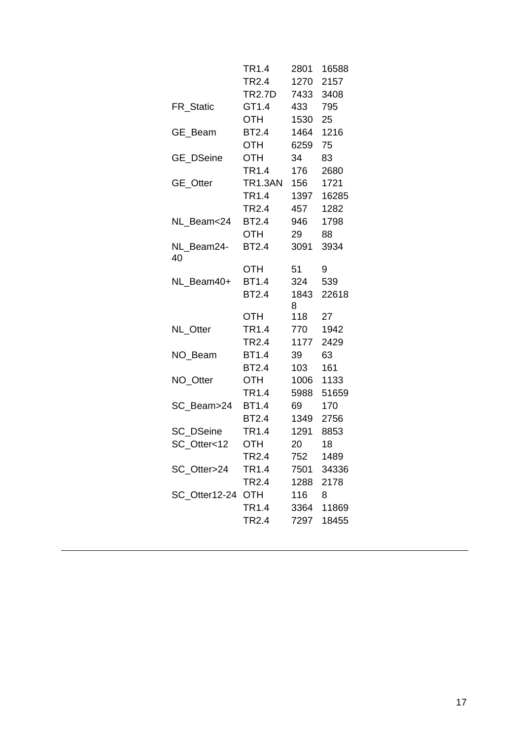|                   | TR1.4         | 2801      | 16588           |
|-------------------|---------------|-----------|-----------------|
|                   | TR2.4         | 1270      | 2157            |
|                   | <b>TR2.7D</b> | 7433      | 3408            |
| FR Static         | GT1.4         | 433       | 795             |
|                   | <b>OTH</b>    | 1530      | 25 <sub>2</sub> |
| GE_Beam           | <b>BT2.4</b>  | 1464      | 1216            |
|                   | OTH           | 6259      | 75              |
| GE_DSeine         | <b>OTH</b>    | 34        | 83              |
|                   | TR1.4         | 176       | 2680            |
| GE_Otter          | TR1.3AN       | 156       | 1721            |
|                   | <b>TR1.4</b>  | 1397      | 16285           |
|                   | <b>TR2.4</b>  | 457       | 1282            |
| NL Beam<24        | <b>BT2.4</b>  | 946       | 1798            |
|                   | OTH           | 29        | 88              |
| NL Beam24-<br>40  | <b>BT2.4</b>  | 3091      | 3934            |
|                   | <b>OTH</b>    | 51        | 9               |
| NL Beam40+        | <b>BT1.4</b>  | 324       | 539             |
|                   | <b>BT2.4</b>  | 1843<br>8 | 22618           |
|                   | OTH           | 118       | 27              |
| NL_Otter          | TR1.4         | 770       | 1942            |
|                   | <b>TR2.4</b>  | 1177      | 2429            |
| NO Beam           | <b>BT1.4</b>  | 39        | 63              |
|                   | <b>BT2.4</b>  | 103       | 161             |
| NO_Otter          | OTH           | 1006      | 1133            |
|                   | TR1.4         | 5988      | 51659           |
| SC_Beam>24        | <b>BT1.4</b>  | 69        | 170             |
|                   | <b>BT2.4</b>  | 1349      | 2756            |
| SC DSeine         | TR1.4         | 1291      | 8853            |
| SC_Otter<12       | OTH           | 20        | 18              |
|                   | TR2.4         | 752       | 1489            |
| SC_Otter>24       | TR1.4         | 7501      | 34336           |
|                   | TR2.4         |           | 1288 2178       |
| SC_Otter12-24 OTH |               | 116       | 8               |
|                   | TR1.4         |           | 3364 11869      |
|                   | TR2.4         | 7297      | 18455           |
|                   |               |           |                 |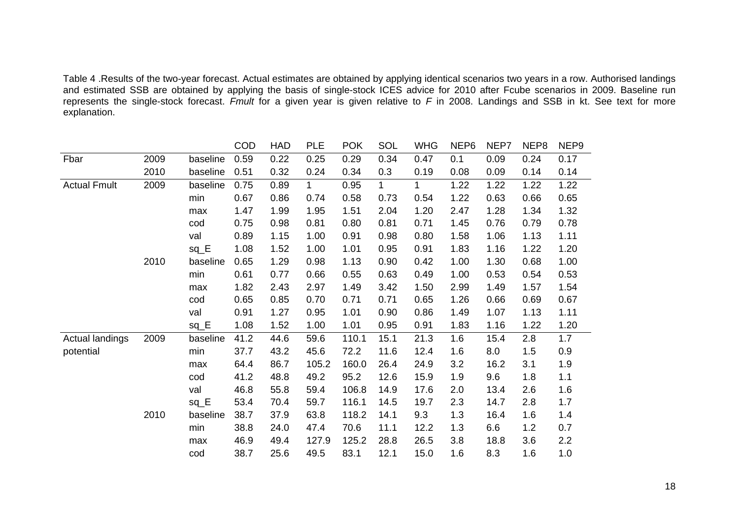Table 4 .Results of the two-year forecast. Actual estimates are obtained by applying identical scenarios two years in a row. Authorised landings and estimated SSB are obtained by applying the basis of single-stock ICES advice for 2010 after Fcube scenarios in 2009. Baseline run represents the single-stock forecast. *Fmult* for a given year is given relative to *F* in 2008. Landings and SSB in kt. See text for more explanation.

|                     |      |          | COD  | <b>HAD</b> | <b>PLE</b>   | <b>POK</b> | SOL          | <b>WHG</b>  | NEP6 | NEP7 | NEP8 | NEP <sub>9</sub> |
|---------------------|------|----------|------|------------|--------------|------------|--------------|-------------|------|------|------|------------------|
| Fbar                | 2009 | baseline | 0.59 | 0.22       | 0.25         | 0.29       | 0.34         | 0.47        | 0.1  | 0.09 | 0.24 | 0.17             |
|                     | 2010 | baseline | 0.51 | 0.32       | 0.24         | 0.34       | 0.3          | 0.19        | 0.08 | 0.09 | 0.14 | 0.14             |
| <b>Actual Fmult</b> | 2009 | baseline | 0.75 | 0.89       | $\mathbf{1}$ | 0.95       | $\mathbf{1}$ | $\mathbf 1$ | 1.22 | 1.22 | 1.22 | 1.22             |
|                     |      | min      | 0.67 | 0.86       | 0.74         | 0.58       | 0.73         | 0.54        | 1.22 | 0.63 | 0.66 | 0.65             |
|                     |      | max      | 1.47 | 1.99       | 1.95         | 1.51       | 2.04         | 1.20        | 2.47 | 1.28 | 1.34 | 1.32             |
|                     |      | cod      | 0.75 | 0.98       | 0.81         | 0.80       | 0.81         | 0.71        | 1.45 | 0.76 | 0.79 | 0.78             |
|                     |      | val      | 0.89 | 1.15       | 1.00         | 0.91       | 0.98         | 0.80        | 1.58 | 1.06 | 1.13 | 1.11             |
|                     |      | $sq_E$   | 1.08 | 1.52       | 1.00         | 1.01       | 0.95         | 0.91        | 1.83 | 1.16 | 1.22 | 1.20             |
|                     | 2010 | baseline | 0.65 | 1.29       | 0.98         | 1.13       | 0.90         | 0.42        | 1.00 | 1.30 | 0.68 | 1.00             |
|                     |      | min      | 0.61 | 0.77       | 0.66         | 0.55       | 0.63         | 0.49        | 1.00 | 0.53 | 0.54 | 0.53             |
|                     |      | max      | 1.82 | 2.43       | 2.97         | 1.49       | 3.42         | 1.50        | 2.99 | 1.49 | 1.57 | 1.54             |
|                     |      | cod      | 0.65 | 0.85       | 0.70         | 0.71       | 0.71         | 0.65        | 1.26 | 0.66 | 0.69 | 0.67             |
|                     |      | val      | 0.91 | 1.27       | 0.95         | 1.01       | 0.90         | 0.86        | 1.49 | 1.07 | 1.13 | 1.11             |
|                     |      | $sq_E$   | 1.08 | 1.52       | 1.00         | 1.01       | 0.95         | 0.91        | 1.83 | 1.16 | 1.22 | 1.20             |
| Actual landings     | 2009 | baseline | 41.2 | 44.6       | 59.6         | 110.1      | 15.1         | 21.3        | 1.6  | 15.4 | 2.8  | 1.7              |
| potential           |      | min      | 37.7 | 43.2       | 45.6         | 72.2       | 11.6         | 12.4        | 1.6  | 8.0  | 1.5  | 0.9              |
|                     |      | max      | 64.4 | 86.7       | 105.2        | 160.0      | 26.4         | 24.9        | 3.2  | 16.2 | 3.1  | 1.9              |
|                     |      | cod      | 41.2 | 48.8       | 49.2         | 95.2       | 12.6         | 15.9        | 1.9  | 9.6  | 1.8  | 1.1              |
|                     |      | val      | 46.8 | 55.8       | 59.4         | 106.8      | 14.9         | 17.6        | 2.0  | 13.4 | 2.6  | 1.6              |
|                     |      | $sq_E$   | 53.4 | 70.4       | 59.7         | 116.1      | 14.5         | 19.7        | 2.3  | 14.7 | 2.8  | 1.7              |
|                     | 2010 | baseline | 38.7 | 37.9       | 63.8         | 118.2      | 14.1         | 9.3         | 1.3  | 16.4 | 1.6  | 1.4              |
|                     |      | min      | 38.8 | 24.0       | 47.4         | 70.6       | 11.1         | 12.2        | 1.3  | 6.6  | 1.2  | 0.7              |
|                     |      | max      | 46.9 | 49.4       | 127.9        | 125.2      | 28.8         | 26.5        | 3.8  | 18.8 | 3.6  | 2.2              |
|                     |      | cod      | 38.7 | 25.6       | 49.5         | 83.1       | 12.1         | 15.0        | 1.6  | 8.3  | 1.6  | 1.0              |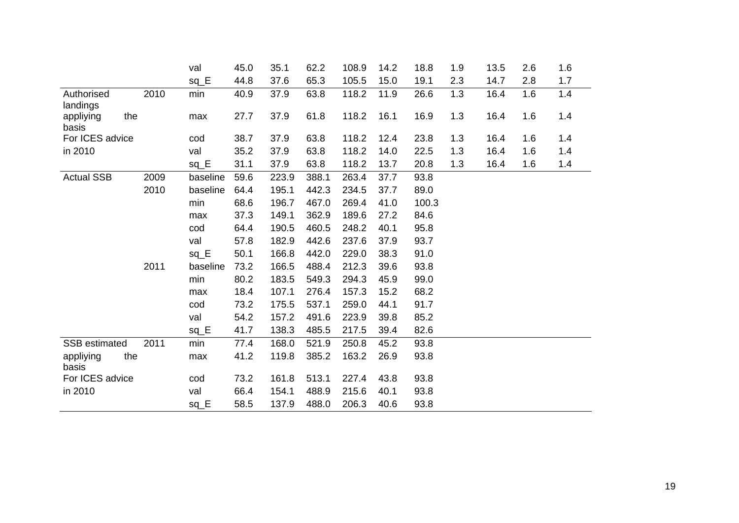|                                       |      | val      | 45.0 | 35.1  | 62.2  | 108.9 | 14.2 | 18.8  | 1.9 | 13.5 | 2.6 | 1.6 |
|---------------------------------------|------|----------|------|-------|-------|-------|------|-------|-----|------|-----|-----|
|                                       |      | $sq_E$   | 44.8 | 37.6  | 65.3  | 105.5 | 15.0 | 19.1  | 2.3 | 14.7 | 2.8 | 1.7 |
| Authorised                            | 2010 | min      | 40.9 | 37.9  | 63.8  | 118.2 | 11.9 | 26.6  | 1.3 | 16.4 | 1.6 | 1.4 |
| landings<br>appliying<br>the<br>basis |      | max      | 27.7 | 37.9  | 61.8  | 118.2 | 16.1 | 16.9  | 1.3 | 16.4 | 1.6 | 1.4 |
| For ICES advice                       |      | cod      | 38.7 | 37.9  | 63.8  | 118.2 | 12.4 | 23.8  | 1.3 | 16.4 | 1.6 | 1.4 |
| in 2010                               |      | val      | 35.2 | 37.9  | 63.8  | 118.2 | 14.0 | 22.5  | 1.3 | 16.4 | 1.6 | 1.4 |
|                                       |      | $sq_E$   | 31.1 | 37.9  | 63.8  | 118.2 | 13.7 | 20.8  | 1.3 | 16.4 | 1.6 | 1.4 |
| <b>Actual SSB</b>                     | 2009 | baseline | 59.6 | 223.9 | 388.1 | 263.4 | 37.7 | 93.8  |     |      |     |     |
|                                       | 2010 | baseline | 64.4 | 195.1 | 442.3 | 234.5 | 37.7 | 89.0  |     |      |     |     |
|                                       |      | min      | 68.6 | 196.7 | 467.0 | 269.4 | 41.0 | 100.3 |     |      |     |     |
|                                       |      | max      | 37.3 | 149.1 | 362.9 | 189.6 | 27.2 | 84.6  |     |      |     |     |
|                                       |      | cod      | 64.4 | 190.5 | 460.5 | 248.2 | 40.1 | 95.8  |     |      |     |     |
|                                       |      | val      | 57.8 | 182.9 | 442.6 | 237.6 | 37.9 | 93.7  |     |      |     |     |
|                                       |      | $sq_E$   | 50.1 | 166.8 | 442.0 | 229.0 | 38.3 | 91.0  |     |      |     |     |
|                                       | 2011 | baseline | 73.2 | 166.5 | 488.4 | 212.3 | 39.6 | 93.8  |     |      |     |     |
|                                       |      | min      | 80.2 | 183.5 | 549.3 | 294.3 | 45.9 | 99.0  |     |      |     |     |
|                                       |      | max      | 18.4 | 107.1 | 276.4 | 157.3 | 15.2 | 68.2  |     |      |     |     |
|                                       |      | cod      | 73.2 | 175.5 | 537.1 | 259.0 | 44.1 | 91.7  |     |      |     |     |
|                                       |      | val      | 54.2 | 157.2 | 491.6 | 223.9 | 39.8 | 85.2  |     |      |     |     |
|                                       |      | $sq_E$   | 41.7 | 138.3 | 485.5 | 217.5 | 39.4 | 82.6  |     |      |     |     |
| <b>SSB</b> estimated                  | 2011 | min      | 77.4 | 168.0 | 521.9 | 250.8 | 45.2 | 93.8  |     |      |     |     |
| appliying<br>the<br>basis             |      | max      | 41.2 | 119.8 | 385.2 | 163.2 | 26.9 | 93.8  |     |      |     |     |
| For ICES advice                       |      | cod      | 73.2 | 161.8 | 513.1 | 227.4 | 43.8 | 93.8  |     |      |     |     |
| in 2010                               |      | val      | 66.4 | 154.1 | 488.9 | 215.6 | 40.1 | 93.8  |     |      |     |     |
|                                       |      | $sq_E$   | 58.5 | 137.9 | 488.0 | 206.3 | 40.6 | 93.8  |     |      |     |     |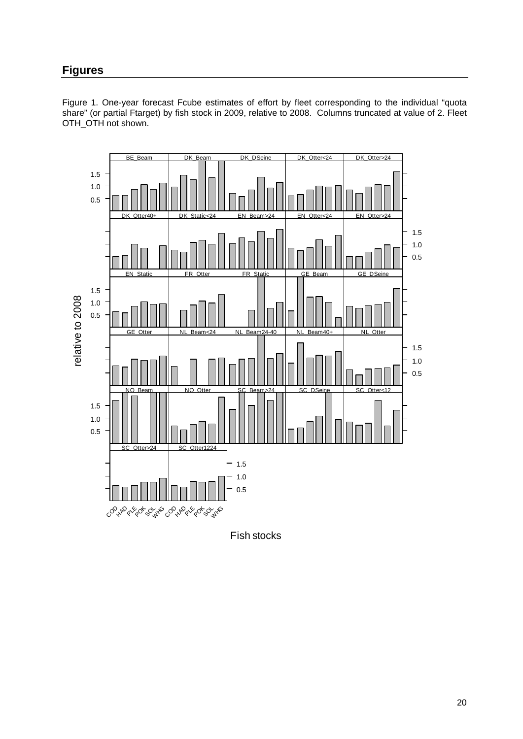# **Figures**

Figure 1. One-year forecast Fcube estimates of effort by fleet corresponding to the individual "quota share" (or partial Ftarget) by fish stock in 2009, relative to 2008. Columns truncated at value of 2. Fleet OTH\_OTH not shown.



Fish stocks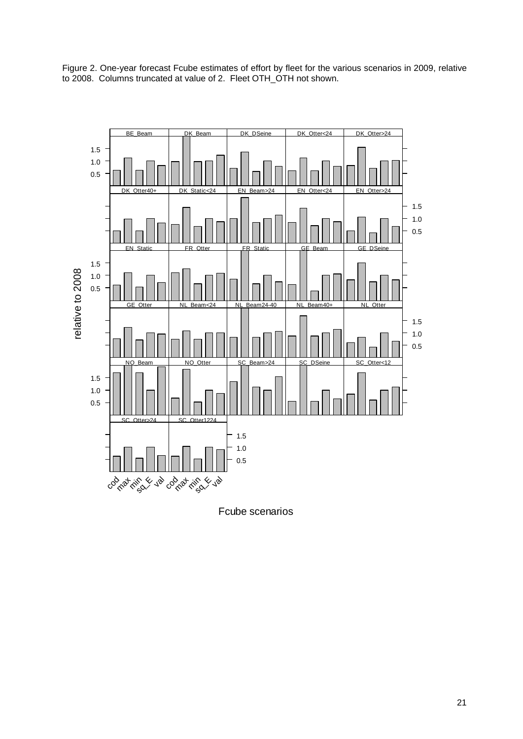

Figure 2. One-year forecast Fcube estimates of effort by fleet for the various scenarios in 2009, relative to 2008. Columns truncated at value of 2. Fleet OTH\_OTH not shown.

Fcube scenarios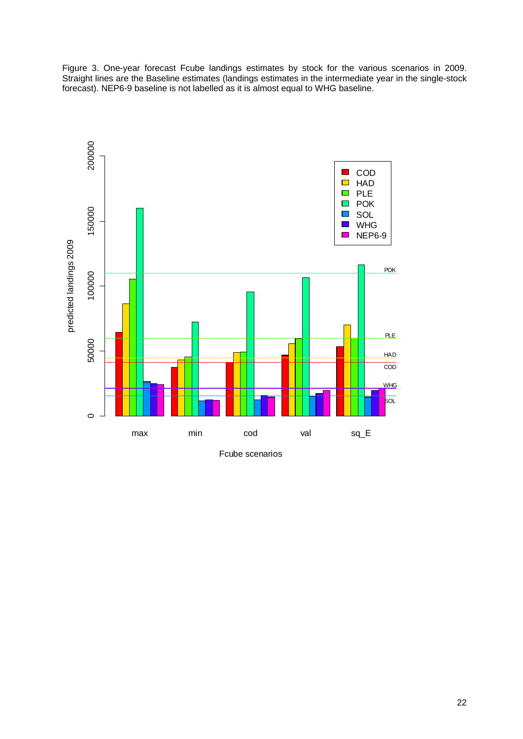Figure 3. One-year forecast Fcube landings estimates by stock for the various scenarios in 2009. Straight lines are the Baseline estimates (landings estimates in the intermediate year in the single-stock forecast). NEP6-9 baseline is not labelled as it is almost equal to WHG baseline.

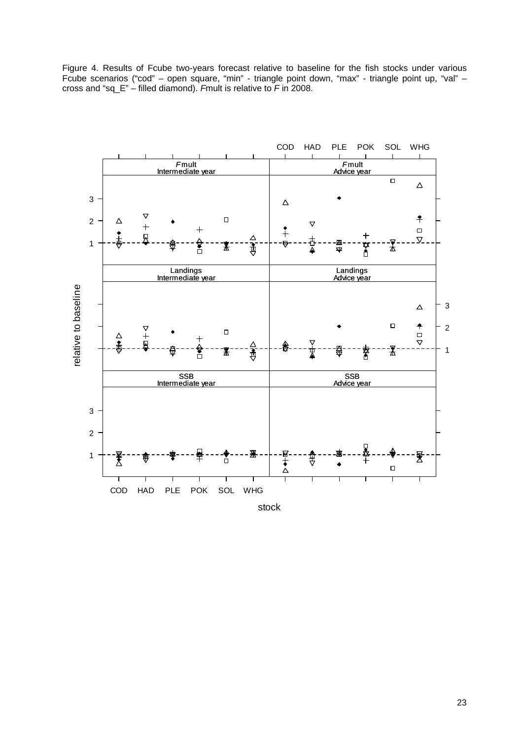Figure 4. Results of Fcube two-years forecast relative to baseline for the fish stocks under various Fcube scenarios ("cod" – open square, "min" - triangle point down, "max" - triangle point up, "val" – cross and "sq\_E" – filled diamond). *F*mult is relative to *F* in 2008.



stock